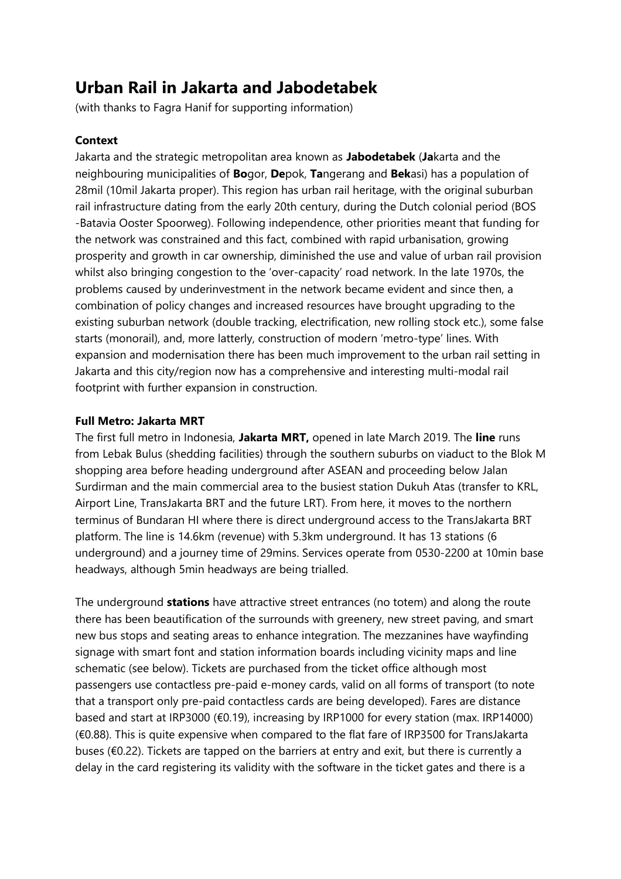# **Urban Rail in Jakarta and Jabodetabek**

(with thanks to Fagra Hanif for supporting information)

# **Context**

Jakarta and the strategic metropolitan area known as **Jabodetabek** (**Ja**karta and the neighbouring municipalities of **Bo**gor, **De**pok, **Ta**ngerang and **Bek**asi) has a population of 28mil (10mil Jakarta proper). This region has urban rail heritage, with the original suburban rail infrastructure dating from the early 20th century, during the Dutch colonial period (BOS -Batavia Ooster Spoorweg). Following independence, other priorities meant that funding for the network was constrained and this fact, combined with rapid urbanisation, growing prosperity and growth in car ownership, diminished the use and value of urban rail provision whilst also bringing congestion to the 'over-capacity' road network. In the late 1970s, the problems caused by underinvestment in the network became evident and since then, a combination of policy changes and increased resources have brought upgrading to the existing suburban network (double tracking, electrification, new rolling stock etc.), some false starts (monorail), and, more latterly, construction of modern 'metro-type' lines. With expansion and modernisation there has been much improvement to the urban rail setting in Jakarta and this city/region now has a comprehensive and interesting multi-modal rail footprint with further expansion in construction.

## **Full Metro: Jakarta MRT**

The first full metro in Indonesia, **Jakarta MRT,** opened in late March 2019. The **line** runs from Lebak Bulus (shedding facilities) through the southern suburbs on viaduct to the Blok M shopping area before heading underground after ASEAN and proceeding below Jalan Surdirman and the main commercial area to the busiest station Dukuh Atas (transfer to KRL, Airport Line, TransJakarta BRT and the future LRT). From here, it moves to the northern terminus of Bundaran HI where there is direct underground access to the TransJakarta BRT platform. The line is 14.6km (revenue) with 5.3km underground. It has 13 stations (6 underground) and a journey time of 29mins. Services operate from 0530-2200 at 10min base headways, although 5min headways are being trialled.

The underground **stations** have attractive street entrances (no totem) and along the route there has been beautification of the surrounds with greenery, new street paving, and smart new bus stops and seating areas to enhance integration. The mezzanines have wayfinding signage with smart font and station information boards including vicinity maps and line schematic (see below). Tickets are purchased from the ticket office although most passengers use contactless pre-paid e-money cards, valid on all forms of transport (to note that a transport only pre-paid contactless cards are being developed). Fares are distance based and start at IRP3000 (€0.19), increasing by IRP1000 for every station (max. IRP14000) (€0.88). This is quite expensive when compared to the flat fare of IRP3500 for TransJakarta buses (€0.22). Tickets are tapped on the barriers at entry and exit, but there is currently a delay in the card registering its validity with the software in the ticket gates and there is a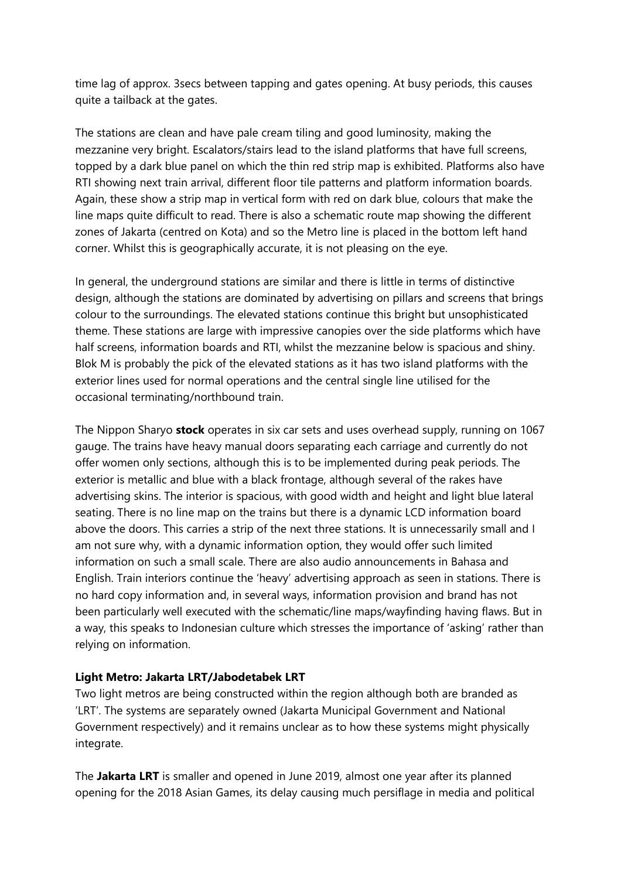time lag of approx. 3secs between tapping and gates opening. At busy periods, this causes quite a tailback at the gates.

The stations are clean and have pale cream tiling and good luminosity, making the mezzanine very bright. Escalators/stairs lead to the island platforms that have full screens, topped by a dark blue panel on which the thin red strip map is exhibited. Platforms also have RTI showing next train arrival, different floor tile patterns and platform information boards. Again, these show a strip map in vertical form with red on dark blue, colours that make the line maps quite difficult to read. There is also a schematic route map showing the different zones of Jakarta (centred on Kota) and so the Metro line is placed in the bottom left hand corner. Whilst this is geographically accurate, it is not pleasing on the eye.

In general, the underground stations are similar and there is little in terms of distinctive design, although the stations are dominated by advertising on pillars and screens that brings colour to the surroundings. The elevated stations continue this bright but unsophisticated theme. These stations are large with impressive canopies over the side platforms which have half screens, information boards and RTI, whilst the mezzanine below is spacious and shiny. Blok M is probably the pick of the elevated stations as it has two island platforms with the exterior lines used for normal operations and the central single line utilised for the occasional terminating/northbound train.

The Nippon Sharyo **stock** operates in six car sets and uses overhead supply, running on 1067 gauge. The trains have heavy manual doors separating each carriage and currently do not offer women only sections, although this is to be implemented during peak periods. The exterior is metallic and blue with a black frontage, although several of the rakes have advertising skins. The interior is spacious, with good width and height and light blue lateral seating. There is no line map on the trains but there is a dynamic LCD information board above the doors. This carries a strip of the next three stations. It is unnecessarily small and I am not sure why, with a dynamic information option, they would offer such limited information on such a small scale. There are also audio announcements in Bahasa and English. Train interiors continue the 'heavy' advertising approach as seen in stations. There is no hard copy information and, in several ways, information provision and brand has not been particularly well executed with the schematic/line maps/wayfinding having flaws. But in a way, this speaks to Indonesian culture which stresses the importance of 'asking' rather than relying on information.

## **Light Metro: Jakarta LRT/Jabodetabek LRT**

Two light metros are being constructed within the region although both are branded as 'LRT'. The systems are separately owned (Jakarta Municipal Government and National Government respectively) and it remains unclear as to how these systems might physically integrate.

The **Jakarta LRT** is smaller and opened in June 2019, almost one year after its planned opening for the 2018 Asian Games, its delay causing much persiflage in media and political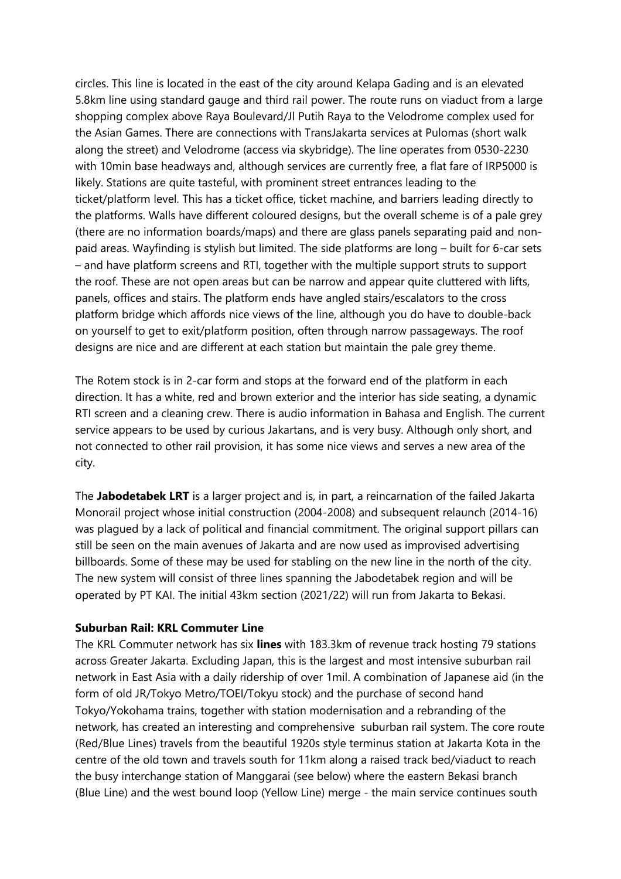circles. This line is located in the east of the city around Kelapa Gading and is an elevated 5.8km line using standard gauge and third rail power. The route runs on viaduct from a large shopping complex above Raya Boulevard/Jl Putih Raya to the Velodrome complex used for the Asian Games. There are connections with TransJakarta services at Pulomas (short walk along the street) and Velodrome (access via skybridge). The line operates from 0530-2230 with 10min base headways and, although services are currently free, a flat fare of IRP5000 is likely. Stations are quite tasteful, with prominent street entrances leading to the ticket/platform level. This has a ticket office, ticket machine, and barriers leading directly to the platforms. Walls have different coloured designs, but the overall scheme is of a pale grey (there are no information boards/maps) and there are glass panels separating paid and nonpaid areas. Wayfinding is stylish but limited. The side platforms are long – built for 6-car sets – and have platform screens and RTI, together with the multiple support struts to support the roof. These are not open areas but can be narrow and appear quite cluttered with lifts, panels, offices and stairs. The platform ends have angled stairs/escalators to the cross platform bridge which affords nice views of the line, although you do have to double-back on yourself to get to exit/platform position, often through narrow passageways. The roof designs are nice and are different at each station but maintain the pale grey theme.

The Rotem stock is in 2-car form and stops at the forward end of the platform in each direction. It has a white, red and brown exterior and the interior has side seating, a dynamic RTI screen and a cleaning crew. There is audio information in Bahasa and English. The current service appears to be used by curious Jakartans, and is very busy. Although only short, and not connected to other rail provision, it has some nice views and serves a new area of the city.

The **Jabodetabek LRT** is a larger project and is, in part, a reincarnation of the failed Jakarta Monorail project whose initial construction (2004-2008) and subsequent relaunch (2014-16) was plagued by a lack of political and financial commitment. The original support pillars can still be seen on the main avenues of Jakarta and are now used as improvised advertising billboards. Some of these may be used for stabling on the new line in the north of the city. The new system will consist of three lines spanning the Jabodetabek region and will be operated by PT KAI. The initial 43km section (2021/22) will run from Jakarta to Bekasi.

### **Suburban Rail: KRL Commuter Line**

The KRL Commuter network has six **lines** with 183.3km of revenue track hosting 79 stations across Greater Jakarta. Excluding Japan, this is the largest and most intensive suburban rail network in East Asia with a daily ridership of over 1mil. A combination of Japanese aid (in the form of old JR/Tokyo Metro/TOEI/Tokyu stock) and the purchase of second hand Tokyo/Yokohama trains, together with station modernisation and a rebranding of the network, has created an interesting and comprehensive suburban rail system. The core route (Red/Blue Lines) travels from the beautiful 1920s style terminus station at Jakarta Kota in the centre of the old town and travels south for 11km along a raised track bed/viaduct to reach the busy interchange station of Manggarai (see below) where the eastern Bekasi branch (Blue Line) and the west bound loop (Yellow Line) merge - the main service continues south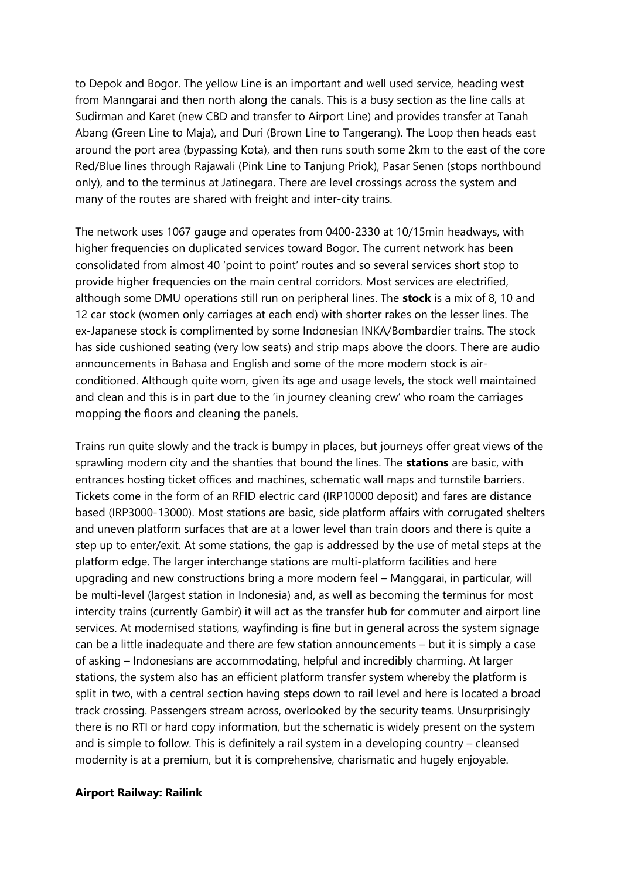to Depok and Bogor. The yellow Line is an important and well used service, heading west from Manngarai and then north along the canals. This is a busy section as the line calls at Sudirman and Karet (new CBD and transfer to Airport Line) and provides transfer at Tanah Abang (Green Line to Maja), and Duri (Brown Line to Tangerang). The Loop then heads east around the port area (bypassing Kota), and then runs south some 2km to the east of the core Red/Blue lines through Rajawali (Pink Line to Tanjung Priok), Pasar Senen (stops northbound only), and to the terminus at Jatinegara. There are level crossings across the system and many of the routes are shared with freight and inter-city trains.

The network uses 1067 gauge and operates from 0400-2330 at 10/15min headways, with higher frequencies on duplicated services toward Bogor. The current network has been consolidated from almost 40 'point to point' routes and so several services short stop to provide higher frequencies on the main central corridors. Most services are electrified, although some DMU operations still run on peripheral lines. The **stock** is a mix of 8, 10 and 12 car stock (women only carriages at each end) with shorter rakes on the lesser lines. The ex-Japanese stock is complimented by some Indonesian INKA/Bombardier trains. The stock has side cushioned seating (very low seats) and strip maps above the doors. There are audio announcements in Bahasa and English and some of the more modern stock is airconditioned. Although quite worn, given its age and usage levels, the stock well maintained and clean and this is in part due to the 'in journey cleaning crew' who roam the carriages mopping the floors and cleaning the panels.

Trains run quite slowly and the track is bumpy in places, but journeys offer great views of the sprawling modern city and the shanties that bound the lines. The **stations** are basic, with entrances hosting ticket offices and machines, schematic wall maps and turnstile barriers. Tickets come in the form of an RFID electric card (IRP10000 deposit) and fares are distance based (IRP3000-13000). Most stations are basic, side platform affairs with corrugated shelters and uneven platform surfaces that are at a lower level than train doors and there is quite a step up to enter/exit. At some stations, the gap is addressed by the use of metal steps at the platform edge. The larger interchange stations are multi-platform facilities and here upgrading and new constructions bring a more modern feel – Manggarai, in particular, will be multi-level (largest station in Indonesia) and, as well as becoming the terminus for most intercity trains (currently Gambir) it will act as the transfer hub for commuter and airport line services. At modernised stations, wayfinding is fine but in general across the system signage can be a little inadequate and there are few station announcements – but it is simply a case of asking – Indonesians are accommodating, helpful and incredibly charming. At larger stations, the system also has an efficient platform transfer system whereby the platform is split in two, with a central section having steps down to rail level and here is located a broad track crossing. Passengers stream across, overlooked by the security teams. Unsurprisingly there is no RTI or hard copy information, but the schematic is widely present on the system and is simple to follow. This is definitely a rail system in a developing country – cleansed modernity is at a premium, but it is comprehensive, charismatic and hugely enjoyable.

### **Airport Railway: Railink**